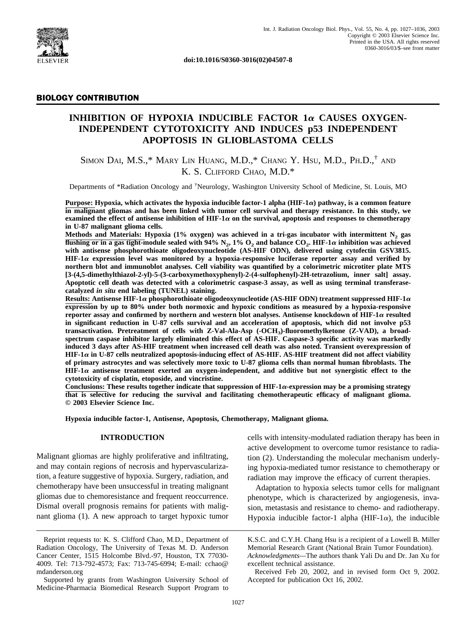

**doi:10.1016/S0360-3016(02)04507-8**

# BIOLOGY CONTRIBUTION

# **INHIBITION OF HYPOXIA INDUCIBLE FACTOR 1** $\alpha$  **CAUSES OXYGEN-INDEPENDENT CYTOTOXICITY AND INDUCES p53 INDEPENDENT APOPTOSIS IN GLIOBLASTOMA CELLS**

SIMON DAI, M.S.,\* MARY LIN HUANG, M.D.,\* CHANG Y. HSU, M.D., PH.D.,† AND K. S. CLIFFORD CHAO, M.D.\*

Departments of \*Radiation Oncology and <sup>†</sup>Neurology, Washington University School of Medicine, St. Louis, MO

**Purpose: Hypoxia, which activates the hypoxia inducible factor-1 alpha (HIF-1) pathway, is a common feature in malignant gliomas and has been linked with tumor cell survival and therapy resistance. In this study, we examined the effect of antisense inhibition of HIF-1** $\alpha$  **on the survival, apoptosis and responses to chemotherapy in U-87 malignant glioma cells.**

**Methods and Materials: Hypoxia (1% oxygen) was achieved in a tri-gas incubator with intermittent N2 gas flushing or in a gas tight-module sealed with 94% N<sub>2</sub>, 1% O<sub>2</sub> and balance CO<sub>2</sub>. HIF-1** $\alpha$  **inhibition was achieved with antisense phosphorothioate oligodeoxynucleotide (AS-HIF ODN), delivered using cytofectin GSV3815. HIF-1 expression level was monitored by a hypoxia-responsive luciferase reporter assay and verified by northern blot and immunoblot analyses. Cell viability was quantified by a colorimetric microtiter plate MTS [3-(4,5-dimethylthiazol-2-yl)-5-(3-carboxymethoxyphenyl)-2-(4-sulfophenyl)-2H-tetrazolium, inner salt] assay. Apoptotic cell death was detected with a colorimetric caspase-3 assay, as well as using terminal transferasecatalyzed** *in situ* **end labeling (TUNEL) staining.**

**Results: Antisense HIF-1** $\alpha$  **phosphorothioate oligodeoxynucleotide (AS-HIF ODN) treatment suppressed HIF-1** $\alpha$ **expression by up to 80% under both normoxic and hypoxic conditions as measured by a hypoxia-responsive** reporter assay and confirmed by northern and western blot analyses. Antisense knockdown of HIF-1 $\alpha$  resulted **in significant reduction in U-87 cells survival and an acceleration of apoptosis, which did not involve p53 transactivation. Pretreatment of cells with Z-Val-Ala-Asp (-OCH3)-fluoromethylketone (Z-VAD), a broadspectrum caspase inhibitor largely eliminated this effect of AS-HIF. Caspase-3 specific activity was markedly induced 3 days after AS-HIF treatment when increased cell death was also noted. Transient overexpression of HIF-1 in U-87 cells neutralized apoptosis-inducing effect of AS-HIF. AS-HIF treatment did not affect viability of primary astrocytes and was selectively more toxic to U-87 glioma cells than normal human fibroblasts. The HIF-1 antisense treatment exerted an oxygen-independent, and additive but not synergistic effect to the cytotoxicity of cisplatin, etoposide, and vincristine.**

Conclusions: These results together indicate that suppression of  $HIF-1\alpha$ -expression may be a promising strategy **that is selective for reducing the survival and facilitating chemotherapeutic efficacy of malignant glioma. © 2003 Elsevier Science Inc.**

**Hypoxia inducible factor-1, Antisense, Apoptosis, Chemotherapy, Malignant glioma.**

#### **INTRODUCTION**

Malignant gliomas are highly proliferative and infiltrating, and may contain regions of necrosis and hypervascularization, a feature suggestive of hypoxia. Surgery, radiation, and chemotherapy have been unsuccessful in treating malignant gliomas due to chemoresistance and frequent reoccurrence. Dismal overall prognosis remains for patients with malignant glioma [\(1\).](#page-9-0) A new approach to target hypoxic tumor

cells with intensity-modulated radiation therapy has been in active development to overcome tumor resistance to radiation [\(2\)](#page-9-0). Understanding the molecular mechanism underlying hypoxia-mediated tumor resistance to chemotherapy or radiation may improve the efficacy of current therapies.

Adaptation to hypoxia selects tumor cells for malignant phenotype, which is characterized by angiogenesis, invasion, metastasis and resistance to chemo- and radiotherapy. Hypoxia inducible factor-1 alpha (HIF-1 $\alpha$ ), the inducible

Received Feb 20, 2002, and in revised form Oct 9, 2002. Accepted for publication Oct 16, 2002.

Reprint requests to: K. S. Clifford Chao, M.D., Department of Radiation Oncology, The University of Texas M. D. Anderson Cancer Center, 1515 Holcombe Blvd.-97, Houston, TX 77030- 4009. Tel: 713-792-4573; Fax: 713-745-6994; E-mail: cchao@ mdanderson.org

Supported by grants from Washington University School of Medicine-Pharmacia Biomedical Research Support Program to

K.S.C. and C.Y.H. Chang Hsu is a recipient of a Lowell B. Miller Memorial Research Grant (National Brain Tumor Foundation). *Acknowledgments—*The authors thank Yali Du and Dr. Jan Xu for excellent technical assistance.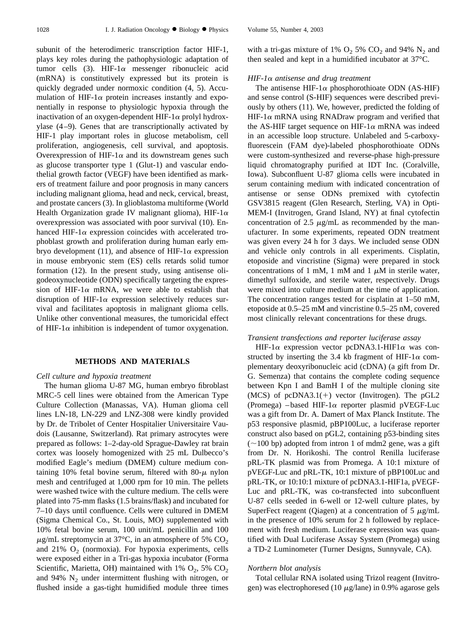subunit of the heterodimeric transcription factor HIF-1, plays key roles during the pathophysiologic adaptation of tumor cells  $(3)$ . HIF-1 $\alpha$  messenger ribonucleic acid (mRNA) is constitutively expressed but its protein is quickly degraded under normoxic condition [\(4, 5\).](#page-9-0) Accumulation of HIF-1 $\alpha$  protein increases instantly and exponentially in response to physiologic hypoxia through the inactivation of an oxygen-dependent HIF-1 $\alpha$  prolyl hydroxylase [\(4–9\)](#page-9-0). Genes that are transcriptionally activated by HIF-1 play important roles in glucose metabolism, cell proliferation, angiogenesis, cell survival, and apoptosis. Overexpression of HIF-1 $\alpha$  and its downstream genes such as glucose transporter type 1 (Glut-1) and vascular endothelial growth factor (VEGF) have been identified as markers of treatment failure and poor prognosis in many cancers including malignant glioma, head and neck, cervical, breast, and prostate cancers [\(3\)](#page-9-0). In glioblastoma multiforme (World Health Organization grade IV malignant glioma), HIF-1 $\alpha$ overexpression was associated with poor survival [\(10\).](#page-9-0) Enhanced HIF-1 $\alpha$  expression coincides with accelerated trophoblast growth and proliferation during human early em-bryo development [\(11\),](#page-9-0) and absence of HIF-1 $\alpha$  expression in mouse embryonic stem (ES) cells retards solid tumor formation [\(12\)](#page-9-0). In the present study, using antisense oligodeoxynucleotide (ODN) specifically targeting the expression of HIF-1 $\alpha$  mRNA, we were able to establish that disruption of HIF-1 $\alpha$  expression selectively reduces survival and facilitates apoptosis in malignant glioma cells. Unlike other conventional measures, the tumoricidal effect of HIF-1 $\alpha$  inhibition is independent of tumor oxygenation.

## **METHODS AND MATERIALS**

#### *Cell culture and hypoxia treatment*

The human glioma U-87 MG, human embryo fibroblast MRC-5 cell lines were obtained from the American Type Culture Collection (Manassas, VA). Human glioma cell lines LN-18, LN-229 and LNZ-308 were kindly provided by Dr. de Tribolet of Center Hospitalier Universitaire Vaudois (Lausanne, Switzerland). Rat primary astrocytes were prepared as follows: 1–2-day-old Sprague-Dawley rat brain cortex was loosely homogenized with 25 mL Dulbecco's modified Eagle's medium (DMEM) culture medium containing 10% fetal bovine serum, filtered with  $80-\mu$  nylon mesh and centrifuged at 1,000 rpm for 10 min. The pellets were washed twice with the culture medium. The cells were plated into 75-mm flasks (1.5 brains/flask) and incubated for 7–10 days until confluence. Cells were cultured in DMEM (Sigma Chemical Co., St. Louis, MO) supplemented with 10% fetal bovine serum, 100 unit/mL penicillin and 100  $\mu$ g/mL streptomycin at 37°C, in an atmosphere of 5% CO<sub>2</sub> and 21%  $O_2$  (normoxia). For hypoxia experiments, cells were exposed either in a Tri-gas hypoxia incubator (Forma Scientific, Marietta, OH) maintained with 1%  $O_2$ , 5%  $CO_2$ and 94%  $N_2$  under intermittent flushing with nitrogen, or flushed inside a gas-tight humidified module three times with a tri-gas mixture of 1%  $O_2$  5%  $CO_2$  and 94%  $N_2$  and then sealed and kept in a humidified incubator at 37°C.

#### *HIF-1 antisense and drug treatment*

The antisense HIF-1 $\alpha$  phosphorothioate ODN (AS-HIF) and sense control (S-HIF) sequences were described previously by others [\(11\).](#page-9-0) We, however, predicted the folding of HIF-1 $\alpha$  mRNA using RNADraw program and verified that the AS-HIF target sequence on HIF-1 $\alpha$  mRNA was indeed in an accessible loop structure. Unlabeled and 5-carboxyfluorescein (FAM dye)-labeled phosphorothioate ODNs were custom-synthesized and reverse-phase high-pressure liquid chromatography purified at IDT Inc. (Coralville, Iowa). Subconfluent U-87 glioma cells were incubated in serum containing medium with indicated concentration of antisense or sense ODNs premixed with cytofectin GSV3815 reagent (Glen Research, Sterling, VA) in Opti-MEM-I (Invitrogen, Grand Island, NY) at final cytofectin concentration of 2.5  $\mu$ g/mL as recommended by the manufacturer. In some experiments, repeated ODN treatment was given every 24 h for 3 days. We included sense ODN and vehicle only controls in all experiments. Cisplatin, etoposide and vincristine (Sigma) were prepared in stock concentrations of 1 mM, 1 mM and 1  $\mu$ M in sterile water, dimethyl sulfoxide, and sterile water, respectively. Drugs were mixed into culture medium at the time of application. The concentration ranges tested for cisplatin at 1–50 mM, etoposide at 0.5–25 mM and vincristine 0.5–25 nM, covered most clinically relevant concentrations for these drugs.

#### *Transient transfections and reporter luciferase assay*

HIF-1 $\alpha$  expression vector pcDNA3.1-HIF1 $\alpha$  was constructed by inserting the 3.4 kb fragment of HIF-1 $\alpha$  complementary deoxyribonucleic acid (cDNA) (a gift from Dr. G. Semenza) that contains the complete coding sequence between Kpn I and BamH I of the multiple cloning site (MCS) of pcDNA3.1(+) vector (Invitrogen). The pGL2 (Promega) –based HIF-1 $\alpha$  reporter plasmid pVEGF-Luc was a gift from Dr. A. Damert of Max Planck Institute. The p53 responsive plasmid, pBP100Luc, a luciferase reporter construct also based on pGL2, containing p53-binding sites  $(\sim 100$  bp) adopted from intron 1 of mdm2 gene, was a gift from Dr. N. Horikoshi. The control Renilla luciferase pRL-TK plasmid was from Promega. A 10:1 mixture of pVEGF-Luc and pRL-TK, 10:1 mixture of pBP100Luc and pRL-TK, or 10:10:1 mixture of pcDNA3.1-HIF1a, pVEGF-Luc and pRL-TK, was co-transfected into subconfluent U-87 cells seeded in 6-well or 12-well culture plates, by SuperFect reagent (Qiagen) at a concentration of 5  $\mu$ g/mL in the presence of 10% serum for 2 h followed by replacement with fresh medium. Luciferase expression was quantified with Dual Luciferase Assay System (Promega) using a TD-2 Luminometer (Turner Designs, Sunnyvale, CA).

#### *Northern blot analysis*

Total cellular RNA isolated using Trizol reagent (Invitrogen) was electrophoresed (10  $\mu$ g/lane) in 0.9% agarose gels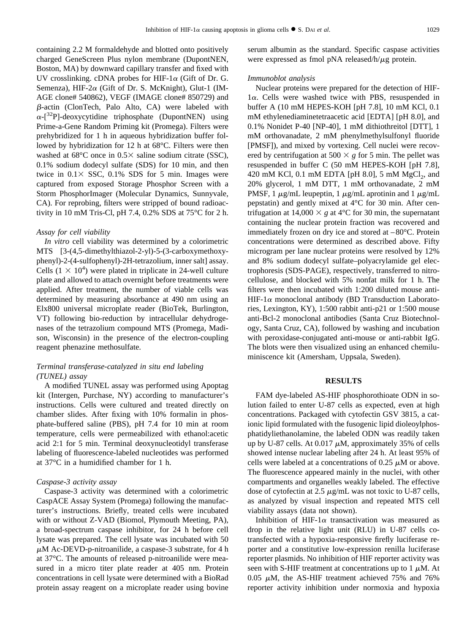containing 2.2 M formaldehyde and blotted onto positively charged GeneScreen Plus nylon membrane (DupontNEN, Boston, MA) by downward capillary transfer and fixed with UV crosslinking. cDNA probes for HIF-1 $\alpha$  (Gift of Dr. G. Semenza), HIF-2 $\alpha$  (Gift of Dr. S. McKnight), Glut-1 (IM-AGE clone# 540862), VEGF (IMAGE clone# 850729) and  $\beta$ -actin (ClonTech, Palo Alto, CA) were labeled with  $\alpha$ -[<sup>32</sup>P]-deoxycytidine triphosphate (DupontNEN) using Prime-a-Gene Random Priming kit (Promega). Filters were prehybridized for 1 h in aqueous hybridization buffer followed by hybridization for 12 h at 68°C. Filters were then washed at  $68^{\circ}$ C once in  $0.5 \times$  saline sodium citrate (SSC), 0.1% sodium dodecyl sulfate (SDS) for 10 min, and then twice in  $0.1 \times$  SSC,  $0.1\%$  SDS for 5 min. Images were captured from exposed Storage Phosphor Screen with a Storm PhosphorImager (Molecular Dynamics, Sunnyvale, CA). For reprobing, filters were stripped of bound radioactivity in 10 mM Tris-Cl, pH 7.4, 0.2% SDS at 75°C for 2 h.

#### *Assay for cell viability*

*In vitro* cell viability was determined by a colorimetric MTS [3-(4,5-dimethylthiazol-2-yl)-5-(3-carboxymethoxyphenyl)-2-(4-sulfophenyl)-2H-tetrazolium, inner salt] assay. Cells  $(1 \times 10^4)$  were plated in triplicate in 24-well culture plate and allowed to attach overnight before treatments were applied. After treatment, the number of viable cells was determined by measuring absorbance at 490 nm using an Elx800 universal microplate reader (BioTek, Burlington, VT) following bio-reduction by intracellular dehydrogenases of the tetrazolium compound MTS (Promega, Madison, Wisconsin) in the presence of the electron-coupling reagent phenazine methosulfate.

# *Terminal transferase-catalyzed in situ end labeling (TUNEL) assay*

A modified TUNEL assay was performed using Apoptag kit (Intergen, Purchase, NY) according to manufacturer's instructions. Cells were cultured and treated directly on chamber slides. After fixing with 10% formalin in phosphate-buffered saline (PBS), pH 7.4 for 10 min at room temperature, cells were permeabilized with ethanol:acetic acid 2:1 for 5 min. Terminal deoxynucleotidyl transferase labeling of fluorescence-labeled nucleotides was performed at 37°C in a humidified chamber for 1 h.

#### *Caspase-3 activity assay*

Caspase-3 activity was determined with a colorimetric CaspACE Assay System (Promega) following the manufacturer's instructions. Briefly, treated cells were incubated with or without Z-VAD (Biomol, Plymouth Meeting, PA), a broad-spectrum caspase inhibitor, for 24 h before cell lysate was prepared. The cell lysate was incubated with 50  $\mu$ M Ac-DEVD-p-nitroanilide, a caspase-3 substrate, for 4 h at 37°C. The amounts of released p-nitroanilide were measured in a micro titer plate reader at 405 nm. Protein concentrations in cell lysate were determined with a BioRad protein assay reagent on a microplate reader using bovine

serum albumin as the standard. Specific caspase activities were expressed as fmol pNA released/h/ $\mu$ g protein.

#### *Immunoblot analysis*

Nuclear proteins were prepared for the detection of HIF- $1\alpha$ . Cells were washed twice with PBS, resuspended in buffer A (10 mM HEPES-KOH [pH 7.8], 10 mM KCl, 0.1 mM ethylenediaminetetraacetic acid [EDTA] [pH 8.0], and 0.1% Nonidet P-40 [NP-40], 1 mM dithiothreitol [DTT], 1 mM orthovanadate, 2 mM phenylmethylsulfonyl fluoride [PMSF]), and mixed by vortexing. Cell nuclei were recovered by centrifugation at 500  $\times$  g for 5 min. The pellet was resuspended in buffer C (50 mM HEPES-KOH [pH 7.8], 420 mM KCl, 0.1 mM EDTA [pH 8.0], 5 mM  $MgCl<sub>2</sub>$ , and 20% glycerol, 1 mM DTT, 1 mM orthovanadate, 2 mM PMSF, 1  $\mu$ g/mL leupeptin, 1  $\mu$ g/mL aprotinin and 1  $\mu$ g/mL pepstatin) and gently mixed at 4°C for 30 min. After centrifugation at 14,000  $\times$  g at 4<sup>o</sup>C for 30 min, the supernatant containing the nuclear protein fraction was recovered and immediately frozen on dry ice and stored at –80°C. Protein concentrations were determined as described above. Fifty microgram per lane nuclear proteins were resolved by 12% and 8% sodium dodecyl sulfate–polyacrylamide gel electrophoresis (SDS-PAGE), respectively, transferred to nitrocellulose, and blocked with 5% nonfat milk for 1 h. The filters were then incubated with 1:200 diluted mouse anti-HIF-1 $\alpha$  monoclonal antibody (BD Transduction Laboratories, Lexington, KY), 1:500 rabbit anti-p21 or 1:500 mouse anti-Bcl-2 monoclonal antibodies (Santa Cruz Biotechnology, Santa Cruz, CA), followed by washing and incubation with peroxidase-conjugated anti-mouse or anti-rabbit IgG. The blots were then visualized using an enhanced chemiluminiscence kit (Amersham, Uppsala, Sweden).

## **RESULTS**

FAM dye-labeled AS-HIF phosphorothioate ODN in solution failed to enter U-87 cells as expected, even at high concentrations. Packaged with cytofectin GSV 3815, a cationic lipid formulated with the fusogenic lipid dioleoylphosphatidyliethanolamine, the labeled ODN was readily taken up by U-87 cells. At  $0.017 \mu M$ , approximately 35% of cells showed intense nuclear labeling after 24 h. At least 95% of cells were labeled at a concentrations of 0.25  $\mu$ M or above. The fluorescence appeared mainly in the nuclei, with other compartments and organelles weakly labeled. The effective dose of cytofectin at  $2.5 \mu g/mL$  was not toxic to U-87 cells, as analyzed by visual inspection and repeated MTS cell viability assays (data not shown).

Inhibition of HIF-1 $\alpha$  transactivation was measured as drop in the relative light unit (RLU) in U-87 cells cotransfected with a hypoxia-responsive firefly luciferase reporter and a constitutive low-expression renilla luciferase reporter plasmids. No inhibition of HIF reporter activity was seen with S-HIF treatment at concentrations up to  $1 \mu M$ . At 0.05  $\mu$ M, the AS-HIF treatment achieved 75% and 76% reporter activity inhibition under normoxia and hypoxia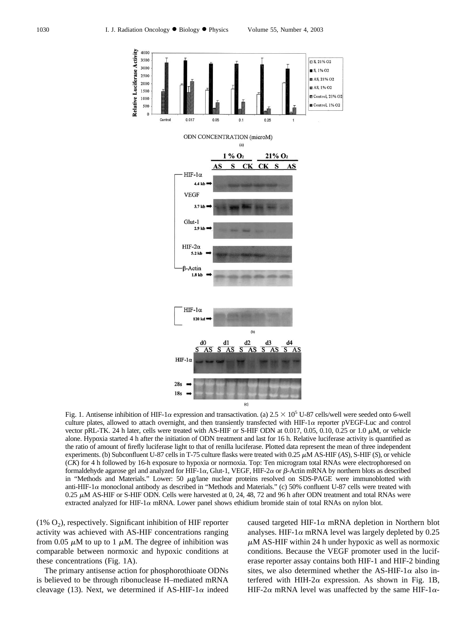<span id="page-3-0"></span>

Fig. 1. Antisense inhibition of HIF-1 $\alpha$  expression and transactivation. (a)  $2.5 \times 10^5$  U-87 cells/well were seeded onto 6-well culture plates, allowed to attach overnight, and then transiently transfected with HIF-1 $\alpha$  reporter pVEGF-Luc and control vector pRL-TK. 24 h later, cells were treated with AS-HIF or S-HIF ODN at 0.017, 0.05, 0.10, 0.25 or 1.0  $\mu$ M, or vehicle alone. Hypoxia started 4 h after the initiation of ODN treatment and last for 16 h. Relative luciferase activity is quantified as the ratio of amount of firefly luciferase light to that of renilla luciferase. Plotted data represent the mean of three independent experiments. (b) Subconfluent U-87 cells in T-75 culture flasks were treated with 0.25  $\mu$ M AS-HIF (*AS*), S-HIF (*S*), or vehicle (*CK*) for 4 h followed by 16-h exposure to hypoxia or normoxia. Top: Ten microgram total RNAs were electrophoresed on formaldehyde agarose gel and analyzed for HIF-1 $\alpha$ , Glut-1, VEGF, HIF-2 $\alpha$  or  $\beta$ -Actin mRNA by northern blots as described in "Methods and Materials." Lower: 50  $\mu$ g/lane nuclear proteins resolved on SDS-PAGE were immunoblotted with anti-HIF-1 a monoclonal antibody as described in "Methods and Materials." (c) 50% confluent U-87 cells were treated with  $0.25 \mu$ M AS-HIF or S-HIF ODN. Cells were harvested at 0, 24, 48, 72 and 96 h after ODN treatment and total RNAs were extracted analyzed for HIF-1 $\alpha$  mRNA. Lower panel shows ethidium bromide stain of total RNAs on nylon blot.

 $(1\% \text{ O}_2)$ , respectively. Significant inhibition of HIF reporter activity was achieved with AS-HIF concentrations ranging from 0.05  $\mu$ M to up to 1  $\mu$ M. The degree of inhibition was comparable between normoxic and hypoxic conditions at these concentrations (Fig. 1A).

The primary antisense action for phosphorothioate ODNs is believed to be through ribonuclease H–mediated mRNA cleavage [\(13\)](#page-9-0). Next, we determined if AS-HIF-1 $\alpha$  indeed

caused targeted HIF-1 $\alpha$  mRNA depletion in Northern blot analyses. HIF-1 $\alpha$  mRNA level was largely depleted by 0.25  $\mu$ M AS-HIF within 24 h under hypoxic as well as normoxic conditions. Because the VEGF promoter used in the luciferase reporter assay contains both HIF-1 and HIF-2 binding sites, we also determined whether the AS-HIF-1 $\alpha$  also interfered with HIH-2 $\alpha$  expression. As shown in Fig. 1B, HIF-2 $\alpha$  mRNA level was unaffected by the same HIF-1 $\alpha$ -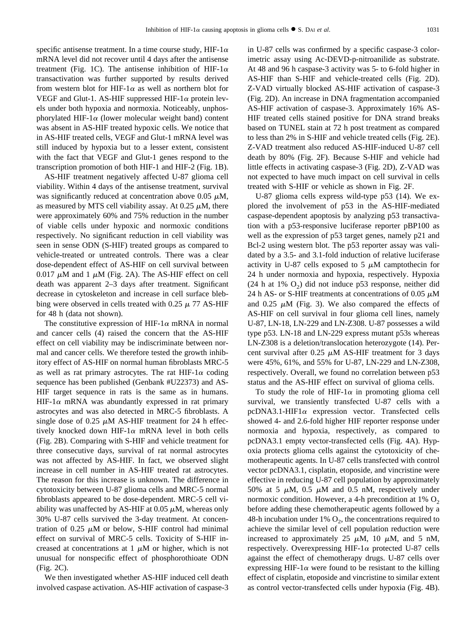specific antisense treatment. In a time course study, HIF-1 $\alpha$ mRNA level did not recover until 4 days after the antisense treatment ([Fig. 1C](#page-3-0)). The antisense inhibition of HIF-1 $\alpha$ transactivation was further supported by results derived from western blot for HIF-1 $\alpha$  as well as northern blot for VEGF and Glut-1. AS-HIF suppressed HIF-1 $\alpha$  protein levels under both hypoxia and normoxia. Noticeably, unphosphorylated HIF-1 $\alpha$  (lower molecular weight band) content was absent in AS-HIF treated hypoxic cells. We notice that in AS-HIF treated cells, VEGF and Glut-1 mRNA level was still induced by hypoxia but to a lesser extent, consistent with the fact that VEGF and Glut-1 genes respond to the transcription promotion of both HIF-1 and HIF-2 ([Fig. 1B\)](#page-3-0).

AS-HIF treatment negatively affected U-87 glioma cell viability. Within 4 days of the antisense treatment, survival was significantly reduced at concentration above  $0.05 \mu M$ , as measured by MTS cell viability assay. At 0.25  $\mu$ M, there were approximately 60% and 75% reduction in the number of viable cells under hypoxic and normoxic conditions respectively. No significant reduction in cell viability was seen in sense ODN (S-HIF) treated groups as compared to vehicle-treated or untreated controls. There was a clear dose-dependent effect of AS-HIF on cell survival between  $0.017 \mu M$  and 1  $\mu M$  ([Fig. 2A](#page-5-0)). The AS-HIF effect on cell death was apparent 2–3 days after treatment. Significant decrease in cytoskeleton and increase in cell surface blebbing were observed in cells treated with  $0.25 \mu$  77 AS-HIF for 48 h (data not shown).

The constitutive expression of HIF-1 $\alpha$  mRNA in normal and cancer cells [\(4\)](#page-9-0) raised the concern that the AS-HIF effect on cell viability may be indiscriminate between normal and cancer cells. We therefore tested the growth inhibitory effect of AS-HIF on normal human fibroblasts MRC-5 as well as rat primary astrocytes. The rat HIF-1 $\alpha$  coding sequence has been published (Genbank #U22373) and AS-HIF target sequence in rats is the same as in humans. HIF-1 $\alpha$  mRNA was abundantly expressed in rat primary astrocytes and was also detected in MRC-5 fibroblasts. A single dose of 0.25  $\mu$ M AS-HIF treatment for 24 h effectively knocked down HIF-1 $\alpha$  mRNA level in both cells ([Fig. 2B](#page-5-0)). Comparing with S-HIF and vehicle treatment for three consecutive days, survival of rat normal astrocytes was not affected by AS-HIF. In fact, we observed slight increase in cell number in AS-HIF treated rat astrocytes. The reason for this increase is unknown. The difference in cytotoxicity between U-87 glioma cells and MRC-5 normal fibroblasts appeared to be dose-dependent. MRC-5 cell viability was unaffected by AS-HIF at  $0.05 \mu$ M, whereas only 30% U-87 cells survived the 3-day treatment. At concentration of 0.25  $\mu$ M or below, S-HIF control had minimal effect on survival of MRC-5 cells. Toxicity of S-HIF increased at concentrations at  $1 \mu M$  or higher, which is not unusual for nonspecific effect of phosphorothioate ODN ([Fig. 2C\)](#page-5-0).

We then investigated whether AS-HIF induced cell death involved caspase activation. AS-HIF activation of caspase-3

in U-87 cells was confirmed by a specific caspase-3 colorimetric assay using Ac-DEVD-p-nitroanilide as substrate. At 48 and 96 h caspase-3 activity was 5- to 6-fold higher in AS-HIF than S-HIF and vehicle-treated cells ([Fig. 2D\)](#page-5-0). Z-VAD virtually blocked AS-HIF activation of caspase-3 ([Fig. 2D\)](#page-5-0). An increase in DNA fragmentation accompanied AS-HIF activation of caspase-3. Approximately 16% AS-HIF treated cells stained positive for DNA strand breaks based on TUNEL stain at 72 h post treatment as compared to less than 2% in S-HIF and vehicle treated cells [\(Fig. 2E\)](#page-5-0). Z-VAD treatment also reduced AS-HIF-induced U-87 cell death by 80% ([Fig. 2F](#page-5-0)). Because S-HIF and vehicle had little effects in activating caspase-3 ([Fig. 2D\)](#page-5-0), Z-VAD was not expected to have much impact on cell survival in cells treated with S-HIF or vehicle as shown in [Fig. 2F](#page-5-0).

U-87 glioma cells express wild-type p53 [\(14\).](#page-9-0) We explored the involvement of p53 in the AS-HIF-mediated caspase-dependent apoptosis by analyzing p53 transactivation with a p53-responsive luciferase reporter pBP100 as well as the expression of p53 target genes, namely p21 and Bcl-2 using western blot. The p53 reporter assay was validated by a 3.5- and 3.1-fold induction of relative luciferase activity in U-87 cells exposed to 5  $\mu$ M camptothecin for 24 h under normoxia and hypoxia, respectively. Hypoxia (24 h at 1%  $O_2$ ) did not induce p53 response, neither did 24 h AS- or S-HIF treatments at concentrations of 0.05  $\mu$ M and 0.25  $\mu$ M [\(Fig. 3\)](#page-6-0). We also compared the effects of AS-HIF on cell survival in four glioma cell lines, namely U-87, LN-18, LN-229 and LN-Z308. U-87 possesses a wild type p53. LN-18 and LN-229 express mutant p53s whereas LN-Z308 is a deletion/translocation heterozygote [\(14\).](#page-9-0) Percent survival after 0.25  $\mu$ M AS-HIF treatment for 3 days were 45%, 61%, and 55% for U-87, LN-229 and LN-Z308, respectively. Overall, we found no correlation between p53 status and the AS-HIF effect on survival of glioma cells.

To study the role of HIF-1 $\alpha$  in promoting glioma cell survival, we transiently transfected U-87 cells with a  $pcDNA3.1-HIF1\alpha$  expression vector. Transfected cells showed 4- and 2.6-fold higher HIF reporter response under normoxia and hypoxia, respectively, as compared to pcDNA3.1 empty vector-transfected cells ([Fig. 4A](#page-7-0)). Hypoxia protects glioma cells against the cytotoxicity of chemotherapeutic agents. In U-87 cells transfected with control vector pcDNA3.1, cisplatin, etoposide, and vincristine were effective in reducing U-87 cell population by approximately 50% at 5  $\mu$ M, 0.5  $\mu$ M and 0.5 nM, respectively under normoxic condition. However, a 4-h precondition at 1%  $O_2$ before adding these chemotherapeutic agents followed by a 48-h incubation under 1%  $O_2$ , the concentrations required to achieve the similar level of cell population reduction were increased to approximately 25  $\mu$ M, 10  $\mu$ M, and 5 nM, respectively. Overexpressing HIF-1 $\alpha$  protected U-87 cells against the effect of chemotherapy drugs. U-87 cells over expressing HIF-1 $\alpha$  were found to be resistant to the killing effect of cisplatin, etoposide and vincristine to similar extent as control vector-transfected cells under hypoxia [\(Fig. 4B\)](#page-7-0).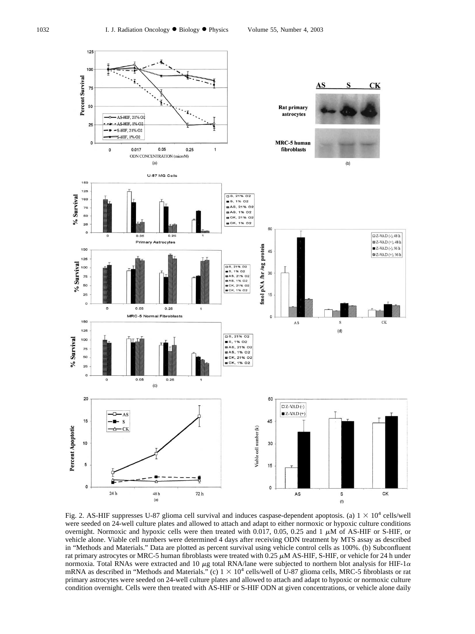<span id="page-5-0"></span>

Fig. 2. AS-HIF suppresses U-87 glioma cell survival and induces caspase-dependent apoptosis. (a)  $1 \times 10^4$  cells/well were seeded on 24-well culture plates and allowed to attach and adapt to either normoxic or hypoxic culture conditions overnight. Normoxic and hypoxic cells were then treated with  $0.017$ ,  $0.05$ ,  $0.25$  and  $1 \mu M$  of AS-HIF or S-HIF, or vehicle alone. Viable cell numbers were determined 4 days after receiving ODN treatment by MTS assay as described in "Methods and Materials." Data are plotted as percent survival using vehicle control cells as 100%. (b) Subconfluent rat primary astrocytes or MRC-5 human fibroblasts were treated with  $0.25 \mu$ M AS-HIF, S-HIF, or vehicle for 24 h under normoxia. Total RNAs were extracted and 10  $\mu$ g total RNA/lane were subjected to northern blot analysis for HIF-1 $\alpha$ mRNA as described in "Methods and Materials." (c)  $1 \times 10^4$  cells/well of U-87 glioma cells, MRC-5 fibroblasts or rat primary astrocytes were seeded on 24-well culture plates and allowed to attach and adapt to hypoxic or normoxic culture condition overnight. Cells were then treated with AS-HIF or S-HIF ODN at given concentrations, or vehicle alone daily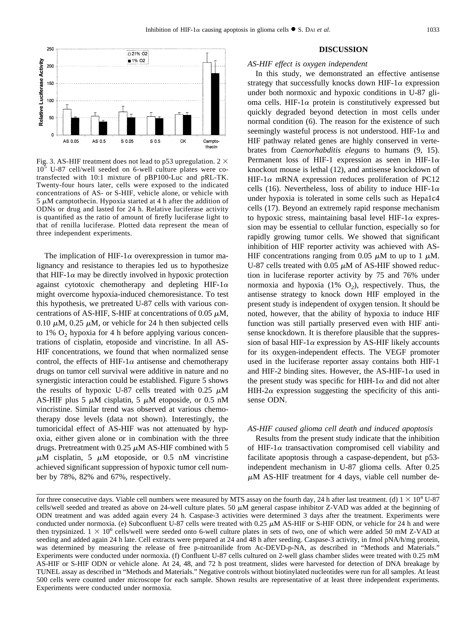<span id="page-6-0"></span>

Fig. 3. AS-HIF treatment does not lead to p53 upregulation.  $2 \times$ 10<sup>5</sup> U-87 cell/well seeded on 6-well culture plates were cotransfected with 10:1 mixture of pBP100-Luc and pRL-TK. Twenty-four hours later, cells were exposed to the indicated concentrations of AS- or S-HIF, vehicle alone, or vehicle with  $5 \mu$ M camptothecin. Hypoxia started at 4 h after the addition of ODNs or drug and lasted for 24 h. Relative luciferase activity is quantified as the ratio of amount of firefly luciferase light to that of renilla luciferase. Plotted data represent the mean of three independent experiments.

The implication of HIF-1 $\alpha$  overexpression in tumor malignancy and resistance to therapies led us to hypothesize that HIF-1 $\alpha$  may be directly involved in hypoxic protection against cytotoxic chemotherapy and depleting HIF-1 $\alpha$ might overcome hypoxia-induced chemoresistance. To test this hypothesis, we pretreated U-87 cells with various concentrations of AS-HIF, S-HIF at concentrations of  $0.05 \mu M$ , 0.10  $\mu$ M, 0.25  $\mu$ M, or vehicle for 24 h then subjected cells to  $1\%$  O<sub>2</sub> hypoxia for 4 h before applying various concentrations of cisplatin, etoposide and vincristine. In all AS-HIF concentrations, we found that when normalized sense control, the effects of HIF-1 $\alpha$  antisense and chemotherapy drugs on tumor cell survival were additive in nature and no synergistic interaction could be established. [Figure 5](#page-8-0) shows the results of hypoxic U-87 cells treated with  $0.25 \mu M$ AS-HIF plus 5  $\mu$ M cisplatin, 5  $\mu$ M etoposide, or 0.5 nM vincristine. Similar trend was observed at various chemotherapy dose levels (data not shown). Interestingly, the tumoricidal effect of AS-HIF was not attenuated by hypoxia, either given alone or in combination with the three drugs. Pretreatment with  $0.25 \mu M$  AS-HIF combined with 5  $\mu$ M cisplatin, 5  $\mu$ M etoposide, or 0.5 nM vincristine achieved significant suppression of hypoxic tumor cell number by 78%, 82% and 67%, respectively.

#### **DISCUSSION**

#### *AS-HIF effect is oxygen independent*

In this study, we demonstrated an effective antisense strategy that successfully knocks down HIF-1 $\alpha$  expression under both normoxic and hypoxic conditions in U-87 glioma cells. HIF-1 $\alpha$  protein is constitutively expressed but quickly degraded beyond detection in most cells under normal condition [\(6\)](#page-9-0). The reason for the existence of such seemingly wasteful process is not understood. HIF-1 $\alpha$  and HIF pathway related genes are highly conserved in vertebrates from *Caenorhabditis elegans* to humans [\(9, 15\)](#page-9-0). Permanent loss of HIF-1 expression as seen in HIF-1 $\alpha$ knockout mouse is lethal [\(12\),](#page-9-0) and antisense knockdown of HIF-1 $\alpha$  mRNA expression reduces proliferation of PC12 cells [\(16\).](#page-9-0) Nevertheless, loss of ability to induce HIF-1 $\alpha$ under hypoxia is tolerated in some cells such as Hepa1c4 cells [\(17\).](#page-9-0) Beyond an extremely rapid response mechanism to hypoxic stress, maintaining basal level HIF-1 $\alpha$  expression may be essential to cellular function, especially so for rapidly growing tumor cells. We showed that significant inhibition of HIF reporter activity was achieved with AS-HIF concentrations ranging from 0.05  $\mu$ M to up to 1  $\mu$ M. U-87 cells treated with 0.05  $\mu$ M of AS-HIF showed reduction in luciferase reporter activity by 75 and 76% under normoxia and hypoxia  $(1\% \text{ O}_2)$ , respectively. Thus, the antisense strategy to knock down HIF employed in the present study is independent of oxygen tension. It should be noted, however, that the ability of hypoxia to induce HIF function was still partially preserved even with HIF antisense knockdown. It is therefore plausible that the suppression of basal HIF-1 $\alpha$  expression by AS-HIF likely accounts for its oxygen-independent effects. The VEGF promoter used in the luciferase reporter assay contains both HIF-1 and HIF-2 binding sites. However, the AS-HIF-1 $\alpha$  used in the present study was specific for HIH-1 $\alpha$  and did not alter HIH-2 $\alpha$  expression suggesting the specificity of this antisense ODN.

## *AS-HIF caused glioma cell death and induced apoptosis*

Results from the present study indicate that the inhibition of HIF-1 $\alpha$  transactivation compromised cell viability and facilitate apoptosis through a caspase-dependent, but p53 independent mechanism in U-87 glioma cells. After 0.25  $\mu$ M AS-HIF treatment for 4 days, viable cell number de-

for three consecutive days. Viable cell numbers were measured by MTS assay on the fourth day, 24 h after last treatment. (d)  $1 \times 10^4$  U-87 cells/well seeded and treated as above on 24-well culture plates. 50  $\mu$ M general caspase inhibitor Z-VAD was added at the beginning of ODN treatment and was added again every 24 h. Caspase-3 activities were determined 3 days after the treatment. Experiments were conducted under normoxia. (e) Subconfluent U-87 cells were treated with  $0.25 \mu M$  AS-HIF or S-HIF ODN, or vehicle for 24 h and were then trypsinized.  $1 \times 10^6$  cells/well were seeded onto 6-well culture plates in sets of two, one of which were added 50 mM Z-VAD at seeding and added again 24 h late. Cell extracts were prepared at 24 and 48 h after seeding. Caspase-3 activity, in fmol pNA/h/mg protein, was determined by measuring the release of free p-nitroanilide from Ac-DEVD-p-NA, as described in "Methods and Materials." Experiments were conducted under normoxia. (f) Confluent U-87 cells cultured on 2-well glass chamber slides were treated with 0.25 mM AS-HIF or S-HIF ODN or vehicle alone. At 24, 48, and 72 h post treatment, slides were harvested for detection of DNA breakage by TUNEL assay as described in "Methods and Materials." Negative controls without biotinylated nucleotides were run for all samples. At least 500 cells were counted under microscope for each sample. Shown results are representative of at least three independent experiments. Experiments were conducted under normoxia.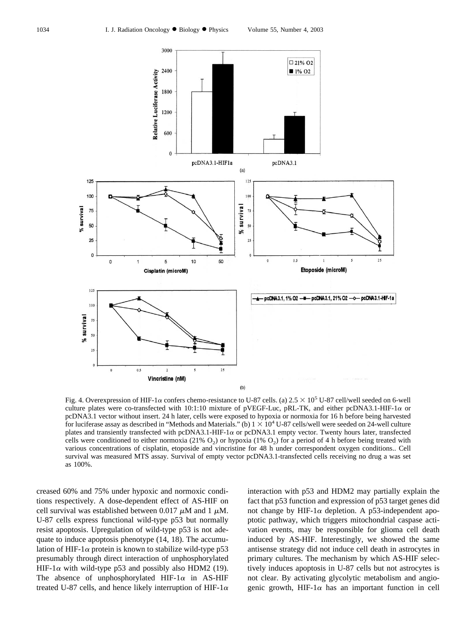<span id="page-7-0"></span>

Fig. 4. Overexpression of HIF-1 $\alpha$  confers chemo-resistance to U-87 cells. (a) 2.5  $\times$  10<sup>5</sup> U-87 cell/well seeded on 6-well culture plates were co-transfected with 10:1:10 mixture of pVEGF-Luc, pRL-TK, and either pcDNA3.1-HIF-1 $\alpha$  or pcDNA3.1 vector without insert. 24 h later, cells were exposed to hypoxia or normoxia for 16 h before being harvested for luciferase assay as described in "Methods and Materials." (b)  $1 \times 10^4$  U-87 cells/well were seeded on 24-well culture plates and transiently transfected with pcDNA3.1-HIF-1 $\alpha$  or pcDNA3.1 empty vector. Twenty hours later, transfected cells were conditioned to either normoxia (21%  $O_2$ ) or hypoxia (1%  $O_2$ ) for a period of 4 h before being treated with various concentrations of cisplatin, etoposide and vincristine for 48 h under correspondent oxygen conditions.. Cell survival was measured MTS assay. Survival of empty vector pcDNA3.1-transfected cells receiving no drug a was set as 100%.

creased 60% and 75% under hypoxic and normoxic conditions respectively. A dose-dependent effect of AS-HIF on cell survival was established between 0.017  $\mu$ M and 1  $\mu$ M. U-87 cells express functional wild-type p53 but normally resist apoptosis. Upregulation of wild-type p53 is not adequate to induce apoptosis phenotype [\(14, 18\)](#page-9-0). The accumulation of HIF-1 $\alpha$  protein is known to stabilize wild-type p53 presumably through direct interaction of unphosphorylated HIF-1 $\alpha$  with wild-type p53 and possibly also HDM2 [\(19\)](#page-9-0). The absence of unphosphorylated HIF-1 $\alpha$  in AS-HIF treated U-87 cells, and hence likely interruption of HIF-1 $\alpha$  interaction with p53 and HDM2 may partially explain the fact that p53 function and expression of p53 target genes did not change by HIF-1 $\alpha$  depletion. A p53-independent apoptotic pathway, which triggers mitochondrial caspase activation events, may be responsible for glioma cell death induced by AS-HIF. Interestingly, we showed the same antisense strategy did not induce cell death in astrocytes in primary cultures. The mechanism by which AS-HIF selectively induces apoptosis in U-87 cells but not astrocytes is not clear. By activating glycolytic metabolism and angiogenic growth, HIF-1 $\alpha$  has an important function in cell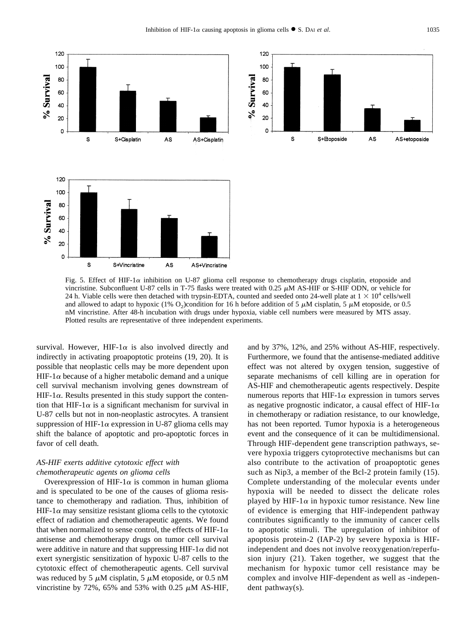<span id="page-8-0"></span>

120 100 % Survival 80 60 40 20 0 S S+Etoposide AS AS+etoposide

Fig. 5. Effect of HIF-1 $\alpha$  inhibition on U-87 glioma cell response to chemotherapy drugs cisplatin, etoposide and vincristine. Subconfluent U-87 cells in T-75 flasks were treated with  $0.25 \mu M$  AS-HIF or S-HIF ODN, or vehicle for 24 h. Viable cells were then detached with trypsin-EDTA, counted and seeded onto 24-well plate at  $1 \times 10^4$  cells/well and allowed to adapt to hypoxic (1% O<sub>2</sub>)condition for 16 h before addition of 5  $\mu$ M cisplatin, 5  $\mu$ M etoposide, or 0.5 nM vincristine. After 48-h incubation with drugs under hypoxia, viable cell numbers were measured by MTS assay. Plotted results are representative of three independent experiments.

survival. However, HIF-1 $\alpha$  is also involved directly and indirectly in activating proapoptotic proteins [\(19, 20\).](#page-9-0) It is possible that neoplastic cells may be more dependent upon HIF-1 $\alpha$  because of a higher metabolic demand and a unique cell survival mechanism involving genes downstream of HIF-1 $\alpha$ . Results presented in this study support the contention that HIF-1 $\alpha$  is a significant mechanism for survival in U-87 cells but not in non-neoplastic astrocytes. A transient suppression of HIF-1 $\alpha$  expression in U-87 glioma cells may shift the balance of apoptotic and pro-apoptotic forces in favor of cell death.

# *AS-HIF exerts additive cytotoxic effect with chemotherapeutic agents on glioma cells*

Overexpression of HIF-1 $\alpha$  is common in human glioma and is speculated to be one of the causes of glioma resistance to chemotherapy and radiation. Thus, inhibition of HIF-1 $\alpha$  may sensitize resistant glioma cells to the cytotoxic effect of radiation and chemotherapeutic agents. We found that when normalized to sense control, the effects of HIF-1 $\alpha$ antisense and chemotherapy drugs on tumor cell survival were additive in nature and that suppressing HIF-1 $\alpha$  did not exert synergistic sensitization of hypoxic U-87 cells to the cytotoxic effect of chemotherapeutic agents. Cell survival was reduced by 5  $\mu$ M cisplatin, 5  $\mu$ M etoposide, or 0.5 nM vincristine by 72%, 65% and 53% with 0.25  $\mu$ M AS-HIF,

and by 37%, 12%, and 25% without AS-HIF, respectively. Furthermore, we found that the antisense-mediated additive effect was not altered by oxygen tension, suggestive of separate mechanisms of cell killing are in operation for AS-HIF and chemotherapeutic agents respectively. Despite numerous reports that HIF-1 $\alpha$  expression in tumors serves as negative prognostic indicator, a causal effect of HIF-1 $\alpha$ in chemotherapy or radiation resistance, to our knowledge, has not been reported. Tumor hypoxia is a heterogeneous event and the consequence of it can be multidimensional. Through HIF-dependent gene transcription pathways, severe hypoxia triggers cytoprotective mechanisms but can also contribute to the activation of proapoptotic genes such as Nip3, a member of the Bcl-2 protein family [\(15\)](#page-9-0). Complete understanding of the molecular events under hypoxia will be needed to dissect the delicate roles played by HIF-1 $\alpha$  in hypoxic tumor resistance. New line of evidence is emerging that HIF-independent pathway contributes significantly to the immunity of cancer cells to apoptotic stimuli. The upregulation of inhibitor of apoptosis protein-2 (IAP-2) by severe hypoxia is HIFindependent and does not involve reoxygenation/reperfusion injury [\(21\)](#page-9-0). Taken together, we suggest that the mechanism for hypoxic tumor cell resistance may be complex and involve HIF-dependent as well as -independent pathway(s).